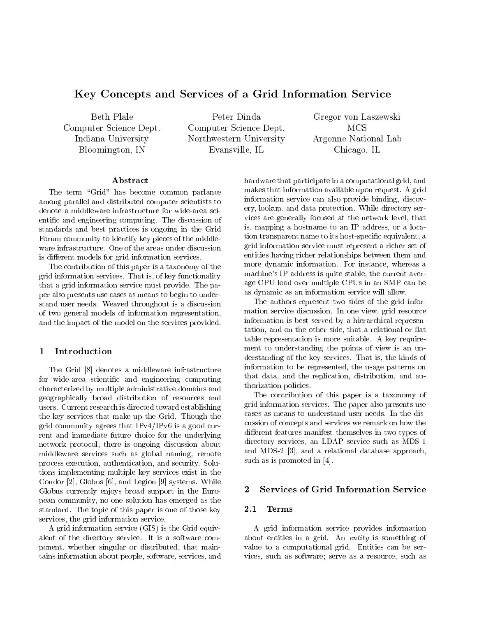# Key Concepts and Services of <sup>a</sup> Grid Information Service

**Beth Plale** 

Peter Dinda Computer Science Dept. Computer Science Dept. Indiana University Northwestern University Argonne National Lab Bloomington, IN Evansville, IL Chicago, IL

Gregor von Laszewski MCS

## Abstract

The term "Grid" has become common parlance among parallel and distributed computer scientists to denote a middleware infrastructure for wide-area scientic and engineering computing. The discussion of standards and best practices is ongoing in the Grid Forum community to identify key pieces of the middle ware infrastructure. One of the areas under discussion is different models for grid information services.

The contribution of this paper is a taxonomy of the grid information services. That is, of key functionality that a grid information service must provide. The paper also presents use cases as means to begin to understand user needs. Weaved throughout is a discussion of two general models of information representation, and the impact of the model on the services provided.

## <sup>1</sup> Introduction

The Grid [8] denotes a middleware infrastructure for wide-area scientific and engineering computing characterized by multiple administrative domains and geographically broad distribution of resources and users. Current research is directed toward establishing the key services that make up the Grid. Though the grid community agrees that  $IPv4/IPv6$  is a good current and immediate future choice for the underlying network protocol, there is ongoing discussion about middleware services such as global naming, remote process execution, authentication, and security. Solutions implementing multiple key services exist in the Condor [2], Globus [6], and Legion [9] systems. While Globus currently enjoys broad support in the European community, no one solution has emerged as the standard. The topic of this paper is one of those key 2.1 services, the grid information service.

A grid information service (GIS) is the Grid equivalent of the directory service. It is a software component, whether singular or distributed, that maintains information about people, software, services, and

hardware that participate in a computational grid, and makes that information available upon request. A grid information service can also provide binding, discov ery, lookup, and data protection. While directory services are generally focused at the network level, that is, mapping a hostname to an IP address, or a location transparent name to its host-specific equivalent, a grid information service must represent a richer set of entities having richer relationships between them and more dynamic information. For instance, whereas a machine's IP address is quite stable, the current average CPU load over multiple CPUs in an SMP can be as dynamic as an information service will allow.

The authors represent two sides of the grid information service discussion. In one view, grid resource information is best served by a hierarchical representation, and on the other side, that a relational or flat table representation is more suitable. A key requirement to understanding the points of view is an understanding of the key services. That is, the kinds of information to be represented, the usage patterns on that data, and the replication, distribution, and authorization policies.

The contribution of this paper is a taxonomy of grid information services. The paper also presents use cases as means to understand user needs. In the discussion of concepts and services we remark on how the different features manifest themselves in two types of directory services, an LDAP service such as MDS-1 and MDS-2 [3], and a relational database approach, such as is promoted in [4].

#### **Services of Grid Information Service**  $\overline{2}$

### **Terms**

A grid information service provides information about entities in a grid. An entity is something of value to a computational grid. Entities can be services, such as software; serve as a resource, such as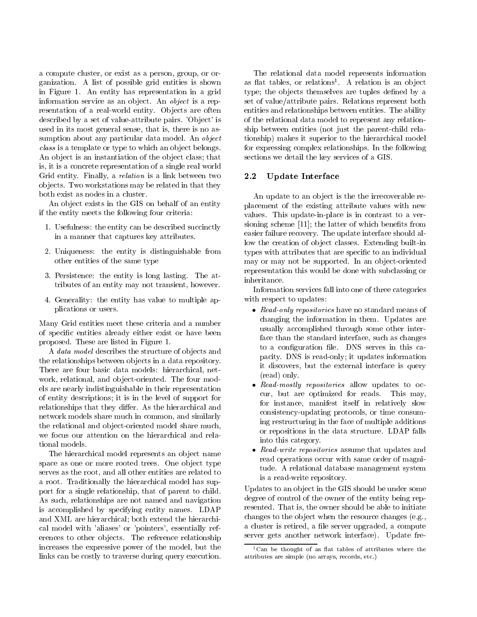a compute cluster, or exist as a person, group, or organization. A list of possible grid entities is shown in Figure 1. An entity has representation in a grid information service as an object. An *object* is a representation of a real-world entity. Objects are often described by a set of value-attribute pairs. 'Object' is used in its most general sense, that is, there is no assumption about any particular data model. An object class is a template or type to which an ob ject belongs. An object is an instantiation of the object class; that is, it is a concrete representation of a single real world Grid entity. Finally, a *relation* is a link between two 2.2 ob jects. Two workstations may be related in that they both exist as nodes in a cluster.

An ob ject exists in the GIS on behalf of an entity if the entity meets the following four criteria:

- 1. Usefulness: the entity can be described succinctly in a manner that captures key attributes.
- 2. Uniqueness: the entity is distinguishable from other entities of the same type
- 3. Persistence: the entity is long lasting. The attributes of an entity may not transient, however.
- 4. Generality: the entity has value to multiple applications or users.

Many Grid entities meet these criteria and a number of specic entities already either exist or have been proposed. These are listed in Figure 1.

A *data model* describes the structure of objects and the relationships between ob jects in a data repository. There are four basic data models: hierarchical, net work, relational, and object-oriented. The four models are nearly indistinguishable in their representation of entity descriptions; it is in the level of support for relationships that they differ. As the hierarchical and network models share much in common, and similarly the relational and ob ject-oriented model share much, we focus our attention on the hierarchical and relational models.

The hierarchical model represents an ob ject name space as one or more rooted trees. One object type serves as the root, and all other entities are related to a root. Traditionally the hierarchical model has support for a single relationship, that of parent to child. As such, relationships are not named and navigation is accomplished by specifying entity names. LDAP and XML are hierarchical; both extend the hierarchical model with 'aliases' or 'pointers', essentially references to other objects. The reference relationship increases the expressive power of the model, but the links can be costly to traverse during query execution.

The relational data model represents information as nat tables, or relations . A relation is an object that type; the objects themselves are tuples defined by a set of value/attribute pairs. Relations represent both entities and relationships between entities. The ability of the relational data model to represent any relationship between entities (not just the parent-child relationship) makes it superior to the hierarchical model for expressing complex relationships. In the following sections we detail the key services of a GIS.

#### Update Interface

An update to an object is the the irrecoverable replacement of the existing attribute values with new values. This update-in-place is in contrast to a versioning scheme  $[11]$ ; the latter of which benefits from easier failure recovery. The update interface should allow the creation of object classes. Extending built-in types with attributes that are specific to an individual may or may not be supported. In an object-oriented representation this would be done with subclassing or inheritance.

Information services fall into one of three categories with respect to updates:

- Read-only repositories have no standard means of changing the information in them. Updates are usually accomplished through some other interface than the standard interface, such as changes to a configuration file. DNS serves in this capacity. DNS is read-only; it updates information it discovers, but the external interface is query (read) only.
- Read-mostly repositories allow updates to occur, but are optimized for reads. This may, for instance, manifest itself in relatively slow consistency-updating protocols, or time consuming restructuring in the face of multiple additions or repositions in the data structure. LDAP falls into this category.
- Read-write repositories assume that updates and read operations occur with same order of magnitude. A relational database management system is a read-write repository.

Updates to an ob ject in the GIS should be under some degree of control of the owner of the entity being represented. That is, the owner should be able to initiate changes to the ob ject when the resource changes (e.g., a cluster is retired, a file server upgraded, a compute server gets another network interface). Update fre-

 $\sim$  can be thought of as flat tables of attributes where the  $\sim$ attributes are simple (no arrays, records, etc.)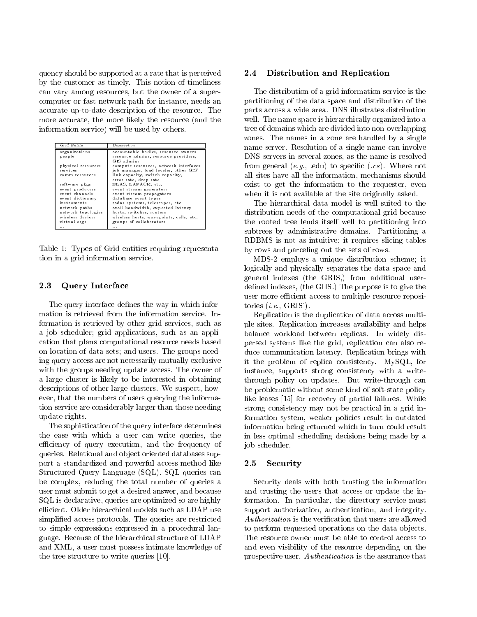quency should be supported at a rate that is perceived 2.4 by the customer as timely. This notion of timeliness can vary among resources, but the owner of a supercomputer or fast network path for instance, needs an accurate up-to-date description of the resource. The more accurate, the more likely the resource (and the information service) will be used by others.

| Grid Entity        | Description                                        |
|--------------------|----------------------------------------------------|
| organizations      | accountable bodies, resource owners                |
| people             | resource admins, resource providers,<br>GIS admins |
| physical resources | compute resources, network interfaces              |
| services           | job manager, load leveler, other GIS'              |
| comm resources     | link capacity, switch capacity,                    |
|                    | error rate, drop rate                              |
| software pkgs      | BLAS, LAPACK, etc.                                 |
| event producers    | event stream generators                            |
| event channels     | event stream propagators                           |
| event dictionary   | database event types                               |
| instruments        | radar systems, telescopes, etc                     |
| network paths      | avail bandwidth, expected latency                  |
| network topologies | hosts, switches, routers                           |
| wireless devices   | wireless hosts, wavepoints, cells, etc.            |
| virtual orgs       | groups of collaborators                            |
| 1.11               | .                                                  |

Table 1: Types of Grid entities requiring representation in a grid information service.

### 2.3 Query Interface

The query interface defines the way in which information is retrieved from the information service. Information is retrieved by other grid services, such as a job scheduler; grid applications, such as an application that plans computational resource needs based on location of data sets; and users. The groups needing query access are not necessarily mutually exclusive with the groups needing update access. The owner of a large cluster is likely to be interested in obtaining descriptions of other large clusters. We suspect, how ever, that the numbers of users querying the information service are considerably larger than those needing update rights.

The sophistication of the query interface determines the ease with which a user can write queries, the efficiency of query execution, and the frequency of queries. Relational and ob ject oriented databases support a standardized and powerful access method like 2.5 Structured Query Language (SQL). SQL queries can be complex, reducing the total number of queries a user must submit to get a desired answer, and because SQL is declarative, queries are optimized so are highly efficient. Older hierarchical models such as LDAP use simplified access protocols. The queries are restricted to simple expressions expressed in a procedural language. Because of the hierarchical structure of LDAP and XML, a user must possess intimate knowledge of the tree structure to write queries [10].

### Distribution and Replication

The distribution of a grid information service is the partitioning of the data space and distribution of the parts across a wide area. DNS illustrates distribution well. The name space is hierarchically organized into a tree of domains which are divided into non-overlapping zones. The names in a zone are handled by a single name server. Resolution of a single name can involve DNS servers in several zones, as the name is resolved from general  $(e.g., .edu)$  to specific  $(.cs).$  Where not all sites have all the information, mechanisms should exist to get the information to the requester, even when it is not available at the site originally asked.

The hierarchical data model is well suited to the distribution needs of the computational grid because the rooted tree lends itself well to partitioning into subtrees by administrative domains. Partitioning a RDBMS is not as intuitive; it requires slicing tables by rows and parceling out the sets of rows.

MDS-2 employs a unique distribution scheme; it logically and physically separates the data space and general indexes (the GRIS,) from additional userdefined indexes, (the GIIS.) The purpose is to give the user more efficient access to multiple resource repositories  $(i.e., \text{GRIS}^{\prime})$ .

Replication is the duplication of data across multiple sites. Replication increases availability and helps balance workload between replicas. In widely dispersed systems like the grid, replication can also reduce communication latency. Replication brings with it the problem of replica consistency. MySQL, for instance, supports strong consistency with a writethrough policy on updates. But write-through can be problematic without some kind of soft-state policy like leases [15] for recovery of partial failures. While strong consistency may not be practical in a grid information system, weaker policies result in outdated information being returned which in turn could result in less optimal scheduling decisions being made by a job scheduler.

### **Security**

Security deals with both trusting the information and trusting the users that access or update the information. In particular, the directory service must support authorization, authentication, and integrity. Authorization is the verification that users are allowed to perform requested operations on the data objects. The resource owner must be able to control access to and even visibility of the resource depending on the prospective user. Authentication is the assurance that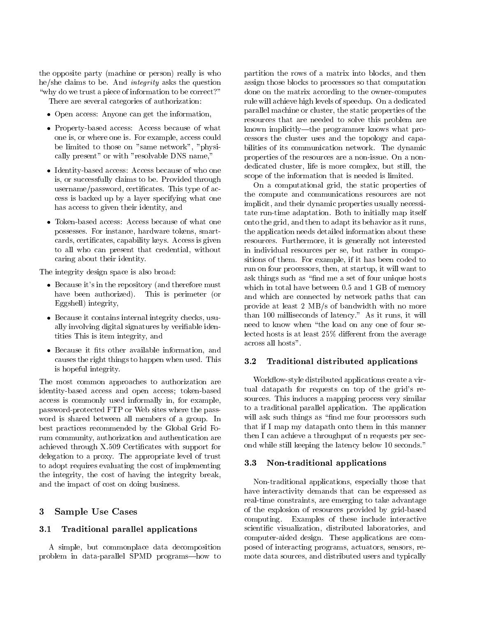the opposite party (machine or person) really is who he/she claims to be. And integrity asks the question "why do we trust a piece of information to be correct?"

There are several categories of authorization:

- Open access: Anyone can get the information,
- Property-based access: Access because of what one is, or where one is. For example, access could be limited to those on "same network", "physically present" or with "resolvable DNS name,"
- Identity-based access: Access because of who one is, or successfully claims to be. Provided through username/password, certificates. This type of access is backed up by a layer specifying what one has access to given their identity, and
- Token-based access: Access because of what one possesses. For instance, hardware tokens, smartcards, certicates, capability keys. Access is given to all who can present that credential, without caring about their identity.

The integrity design space is also broad:

- Because it's in the repository (and therefore must have been authorized). This is perimeter (or Eggshell) integrity,
- $\mathbb{R}$  is contained internal internal integrity checks, usual integrity checks, usual integrity checks, usually checks,  $\mathbb{R}$ ally involving digital signatures by veriable identities This is item integrity, and
- Because it ts other available information, and causes the right things to happen when used. This 3.2 is hopeful integrity.

The most common approaches to authorization are identity-based access and open access; token-based access is commonly used informally in, for example, password-protected FTP or Web sites where the pass word is shared between all members of a group. In best practices recommended by the Global Grid Forum community, authorization and authentication are achieved through X.509 Certicates with support for delegation to a proxy. The appropriate level of trust to adopt requires evaluating the cost of implementing the integrity, the cost of having the integrity break, and the impact of cost on doing business.

#### 3 <sup>3</sup> Sample Use Cases

### 3.1 Traditional parallel applications

A simple, but commonplace data decomposition problem in data-parallel SPMD programs-how to partition the rows of a matrix into blocks, and then assign those blocks to processors so that computation done on the matrix according to the owner-computes rule will achieve high levels of speedup. On a dedicated parallel machine or cluster, the static properties of the resources that are needed to solve this problem are known implicitly—the programmer knows what processors the cluster uses and the topology and capabilities of its communication network. The dynamic properties of the resources are a non-issue. On a nondedicated cluster, life is more complex, but still, the scope of the information that is needed is limited.

On a computational grid, the static properties of the compute and communications resources are not implicit, and their dynamic properties usually necessitate run-time adaptation. Both to initially map itself onto the grid, and then to adapt its behavior as it runs, the application needs detailed information about these resources. Furthermore, it is generally not interested in individual resources per se, but rather in compositions of them. For example, if it has been coded to run on four processors, then, at startup, it will want to ask things such as "find me a set of four unique hosts which in total have between 0.5 and 1 GB of memory and which are connected by network paths that can provide at least 2 MB/s of bandwidth with no more than 100 milliseconds of latency." As it runs, it will need to know when "the load on any one of four selected hosts is at least  $25\%$  different from the average across all hosts".

#### 3.2 Traditional distributed applications

Workflow-style distributed applications create a virtual datapath for requests on top of the grid's resources. This induces a mapping process very similar to a traditional parallel application. The application will ask such things as "find me four processors such that if I map my datapath onto them in this manner then I can achieve a throughput of n requests per second while still keeping the latency below 10 seconds."

#### 3.3 Non-traditional applications

Non-traditional applications, especially those that have interactivity demands that can be expressed as real-time constraints, are emerging to take advantage of the explosion of resources provided by grid-based computing. Examples of these include interactive scientific visualization, distributed laboratories, and computer-aided design. These applications are composed of interacting programs, actuators, sensors, remote data sources, and distributed users and typically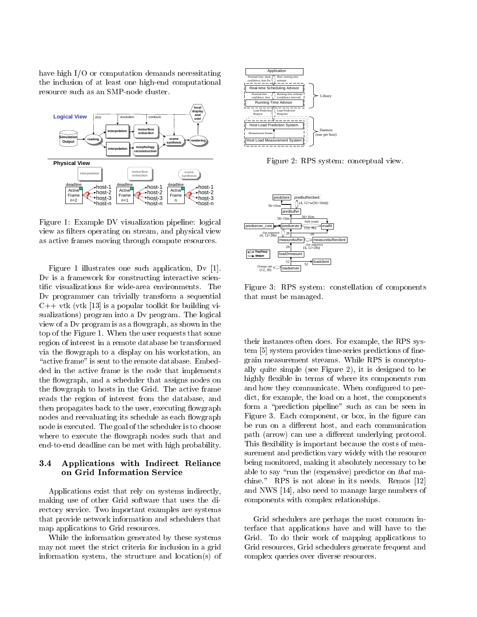have high I/O or computation demands necessitating the inclusion of at least one high-end computational resource such as an SMP-node cluster.



Figure 1: Example DV visualization pipeline: logical view as lters operating on stream, and physical view as active frames moving through compute resources.

Figure 1 illustrates one such application, Dv [1]. Dv is a framework for constructing interactive scientic visualizations for wide-area environments. The Dv programmer can trivially transform a sequential  $C++$  vtk (vtk [13] is a popular toolkit for building visualizations) program into a Dv program. The logical view of a Dy program is as a flowgraph, as shown in the top of the Figure 1. When the user requests that some region of interest in a remote database be transformed via the flowgraph to a display on his workstation, an " $active frame"$  is sent to the remote database. Embedded in the active frame is the code that implements the flowgraph, and a scheduler that assigns nodes on the flowgraph to hosts in the Grid. The active frame reads the region of interest from the database, and then propagates back to the user, executing flowgraph nodes and reevaluating its schedule as each flowgraph node is executed. The goal of the scheduler is to choose where to execute the flowgraph nodes such that and end-to-end deadline can be met with high probability.

## 3.4 Applications with Indirect Reliance on Grid Information Service

Applications exist that rely on systems indirectly, making use of other Grid software that uses the directory service. Two important examples are systems that provide network information and schedulers that map applications to Grid resources.

While the information generated by these systems may not meet the strict criteria for inclusion in a grid information system, the structure and location(s) of



Figure 2: RPS system: conceptual view.



Figure 3: RPS system: constellation of components that must be managed.

their instances often does. For example, the RPS system [5] system provides time-series predictions of finegrain measurement streams. While RPS is conceptually quite simple (see Figure 2), it is designed to be highly flexible in terms of where its components run and how they communicate. When configured to predict, for example, the load on a host, the components form a "prediction pipeline" such as can be seen in Figure 3. Each component, or box, in the figure can be run on a different host, and each communication path (arrow) can use a different underlying protocol. This flexibility is important because the costs of measurement and prediction vary widely with the resource being monitored, making it absolutely necessary to be able to say "run the (expensive) predictor on that machine." RPS is not alone in its needs. Remos [12] and NWS [14], also need to manage large numbers of components with complex relationships.

Grid schedulers are perhaps the most common interface that applications have and will have to the Grid. To do their work of mapping applications to Grid resources, Grid schedulers generate frequent and complex queries over diverse resources.